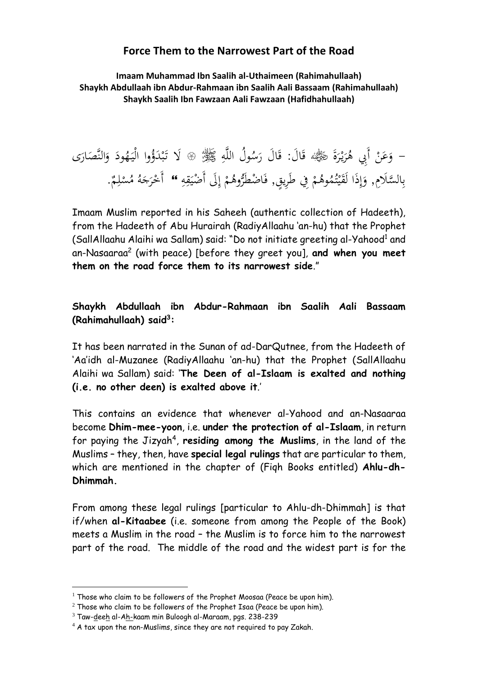## **Force Them to the Narrowest Part of the Road**

**Imaam Muhammad Ibn Saalih al-Uthaimeen (Rahimahullaah) Shaykh Abdullaah ibn Abdur-Rahmaan ibn Saalih Aali Bassaam (Rahimahullaah) Shaykh Saalih Ibn Fawzaan Aali Fawzaan (Hafidhahullaah)**

### ة<br>م – وَعَنْ أَبِي هُرَيْرَةَ رَضِيَّةَ، قَالَ: قَالَ رَسُولُ اللَّهِ ﷺ ﴾ لَا تَبْدَؤُوا الْيَهُودَ وَالنَّصَارَى َ اب<br>أ ر<br>ا .<br>.<br>. َ ي َ ة<br>أ َ  $\ddot{\phantom{0}}$  $\ddot{\phantom{0}}$  $\ddot{\phantom{0}}$ **ٔ** ب ت<br>ا ي بِالسَّلَامِ, وَإِذَا لَقَيْتُمُوهُمْ فِي طَرِيقٍ, فَاضْطَرُّوهُمْ إِلَى أَضْيَقِهِ ۚ ۚ أَخْرَجَهُ مُسْلِمٌ. .<br>يم يا<br>. ي إ ْ <u>،</u> ْ و<br>ته .<br>: ي نم<br>عم ي إ ٍ<br>رُ .<br>ب ي ْ َ ُ<br>ر ْ

Imaam Muslim reported in his Saheeh (authentic collection of Hadeeth), from the Hadeeth of Abu Hurairah (RadiyAllaahu 'an-hu) that the Prophet (SallAllaahu Alaihi wa Sallam) said: "Do not initiate greeting al-Yahood<sup>1</sup> and an-Nasaaraa<sup>2</sup> (with peace) [before they greet you], **and when you meet them on the road force them to its narrowest side**."

# **Shaykh Abdullaah ibn Abdur-Rahmaan ibn Saalih Aali Bassaam (Rahimahullaah) said<sup>3</sup> :**

It has been narrated in the Sunan of ad-DarQutnee, from the Hadeeth of 'Aa'idh al-Muzanee (RadiyAllaahu 'an-hu) that the Prophet (SallAllaahu Alaihi wa Sallam) said: '**The Deen of al-Islaam is exalted and nothing (i.e. no other deen) is exalted above it**.'

This contains an evidence that whenever al-Yahood and an-Nasaaraa become **Dhim-mee-yoon**, i.e. **under the protection of al-Islaam**, in return for paying the Jizyah<sup>4</sup>, residing among the Muslims, in the land of the Muslims – they, then, have **special legal rulings** that are particular to them, which are mentioned in the chapter of (Fiqh Books entitled) **Ahlu-dh-Dhimmah.**

From among these legal rulings [particular to Ahlu-dh-Dhimmah] is that if/when **al-Kitaabee** (i.e. someone from among the People of the Book) meets a Muslim in the road – the Muslim is to force him to the narrowest part of the road. The middle of the road and the widest part is for the

1

 $1$  Those who claim to be followers of the Prophet Moosaa (Peace be upon him).

 $2$  Those who claim to be followers of the Prophet Isaa (Peace be upon him).

<sup>3</sup> Taw-deeh al-Ah-kaam min Buloogh al-Maraam, pgs. 238-239

 $4$  A tax upon the non-Muslims, since they are not required to pay Zakah.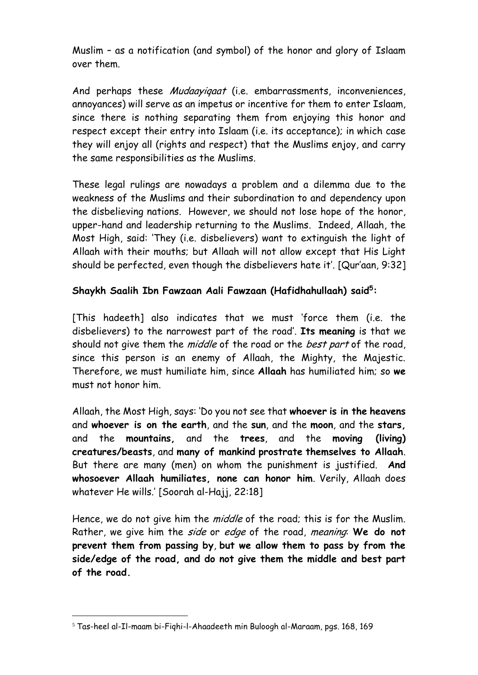Muslim – as a notification (and symbol) of the honor and glory of Islaam over them.

And perhaps these Mudaayiqaat (i.e. embarrassments, inconveniences, annoyances) will serve as an impetus or incentive for them to enter Islaam, since there is nothing separating them from enjoying this honor and respect except their entry into Islaam (i.e. its acceptance); in which case they will enjoy all (rights and respect) that the Muslims enjoy, and carry the same responsibilities as the Muslims.

These legal rulings are nowadays a problem and a dilemma due to the weakness of the Muslims and their subordination to and dependency upon the disbelieving nations. However, we should not lose hope of the honor, upper-hand and leadership returning to the Muslims. Indeed, Allaah, the Most High, said: 'They (i.e. disbelievers) want to extinguish the light of Allaah with their mouths; but Allaah will not allow except that His Light should be perfected, even though the disbelievers hate it'. [Qur'aan, 9:32]

## **Shaykh Saalih Ibn Fawzaan Aali Fawzaan (Hafidhahullaah) said<sup>5</sup> :**

[This hadeeth] also indicates that we must 'force them (i.e. the disbelievers) to the narrowest part of the road'. **Its meaning** is that we should not give them the *middle* of the road or the *best part* of the road, since this person is an enemy of Allaah, the Mighty, the Majestic. Therefore, we must humiliate him, since **Allaah** has humiliated him; so **we** must not honor him.

Allaah, the Most High, says: 'Do you not see that **whoever is in the heavens** and **whoever is on the earth**, and the **sun**, and the **moon**, and the **stars,** and the **mountains,** and the **trees**, and the **moving (living) creatures/beasts**, and **many of mankind prostrate themselves to Allaah**. But there are many (men) on whom the punishment is justified. **And whosoever Allaah humiliates, none can honor him**. Verily, Allaah does whatever He wills.' [Soorah al-Hajj, 22:18]

Hence, we do not give him the *middle* of the road; this is for the Muslim. Rather, we give him the side or edge of the road, meaning: **We do not prevent them from passing by**, **but we allow them to pass by from the side/edge of the road, and do not give them the middle and best part of the road.**

1

<sup>5</sup> Tas-heel al-Il-maam bi-Fiqhi-l-Ahaadeeth min Buloogh al-Maraam, pgs. 168, 169